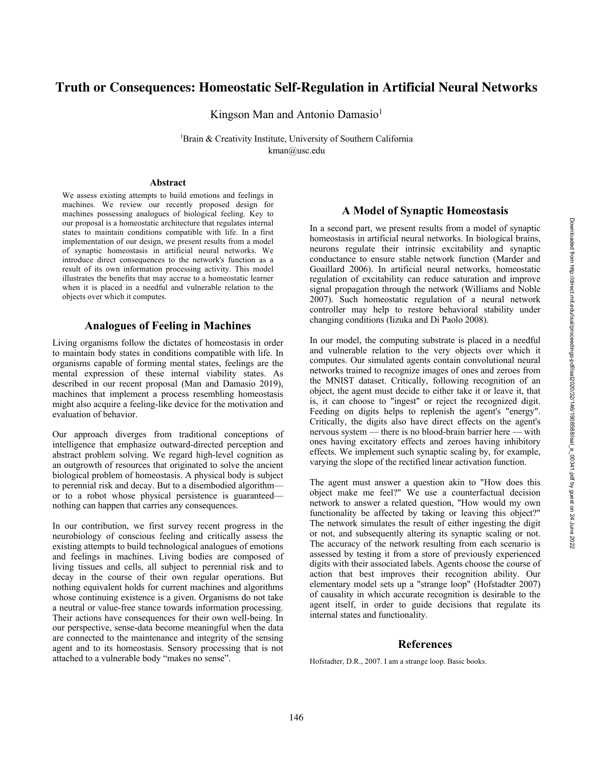# **Truth or Consequences: Homeostatic Self-Regulation in Artificial Neural Networks**

Kingson Man and Antonio Damasio<sup>1</sup>

<sup>1</sup>Brain & Creativity Institute, University of Southern California kman@usc.edu

#### **Abstract**

We assess existing attempts to build emotions and feelings in machines. We review our recently proposed design for machines possessing analogues of biological feeling. Key to our proposal is a homeostatic architecture that regulates internal states to maintain conditions compatible with life. In a first implementation of our design, we present results from a model of synaptic homeostasis in artificial neural networks. W e introduce direct consequences to the network's function as a result of its own information processing activity. This model illustrates the benefits that may accrue to a homeostatic learner when it is placed in a needful and vulnerable relation to the objects over which it computes.

### **Analogues of Feeling in Machines**

Living organisms follow the dictates of homeostasis in order to maintain body states in conditions compatible with life. In organisms capable of forming mental states, feelings are the mental expression of these internal viability states. As described in our recent proposal (Man and Damasio 2019), machines that implement a process resembling homeostasis might also acquire a feeling -like device for the motivation and evaluation of behavior.

Our approach diverges from traditional conceptions of intelligence that emphasize outward -directed perception and abstract problem solving. We regard high -level cognition as an outgrowth of resources that originated to solve the ancient biological problem of homeostasis. A physical body is subject to perennial risk and decay. But to a disembodied algorithm or to a robot whose physical persistence is guaranteed nothing can happen that carries any consequences.

In our contribution, we first survey recent progress in the neurobiology of conscious feeling and critically assess the existing attempts to build technological analogues of emotions and feelings in machines. Living bodies are composed of living tissues and cells, all subject to perennial risk and to decay in the course of their own regular operations. But nothing equivalent holds for current machines and algorithms whose continuing existence is a given. Organisms do not take a neutral or value -free stance towards information processing. Their actions have consequences for their own well-being. In our perspective, sense -data become meaningful when the data are connected to the maintenance and integrity of the sensing agent and to its homeostasis. Sensory processing that is not attached to a vulnerable body "makes no sense".

## **A Model of Synaptic Homeostasis**

In a second part, we present results from a model of synaptic homeostasis in artificial neural networks. In biological brains, neurons regulate their intrinsic excitability and synaptic conductance to ensure stable network function (Marder and Goaillard 2006). In artificial neural networks , homeostatic regulation of excitability can reduce saturation and improve signal propagation through the network (Williams and Noble 2007). Such homeostatic regulation of a neural network controller may help to restore behavioral stability under changing conditions (Iizuka and Di Paolo 2008).

In our model, the computing substrate is placed in a needful and vulnerable relation to the very objects over which it computes. Our simulated agents contain convolutional neural networks trained to recognize images of ones and zeroes from the MNIST dataset. Critically, following recognition of an object, the agent must decide to either take it or leave it, that is, it can choose to "ingest" or reject the recognized digit. Feeding on digits helps to replenish the agent's "energy". Critically, the digits also have direct effects on the agent's nervous system — there is no blood -brain barrier here — with ones having excitatory effects and zeroes having inhibitory effects. We implement such synaptic scaling by, for example, varying the slope of the rectified linear activation function.

The agent must answer a question akin to "How does this object make me feel?" We use a counterfactual decision network to answer a related question, "How would my own functionality be affected by taking or leaving this object?" The network simulates the result of either ingesting the digit or not, and subsequently altering its synaptic scaling or not. The accuracy of the network resulting from each scenario is assessed by testing it from a store of previously experienced digits with their associated labels. Agents choose the course of action that best improves their recognition ability. Our elementary model sets up a "strange loop" (Hofstadter 2007) of causality in which accurate recognition is desirable to the agent itself, in order to guide decisions that regulate its internal states and functionality.

### **References**

Hofstadter, D.R., 2007. I am a strange loop. Basic books.